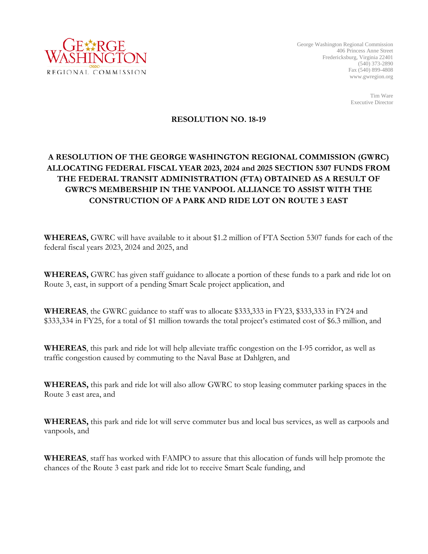

George Washington Regional Commission 406 Princess Anne Street Fredericksburg, Virginia 22401 (540) 373-2890 Fax (540) 899-4808 www.gwregion.org

> Tim Ware Executive Director

## **RESOLUTION NO. 18-19**

## **A RESOLUTION OF THE GEORGE WASHINGTON REGIONAL COMMISSION (GWRC) ALLOCATING FEDERAL FISCAL YEAR 2023, 2024 and 2025 SECTION 5307 FUNDS FROM THE FEDERAL TRANSIT ADMINISTRATION (FTA) OBTAINED AS A RESULT OF GWRC'S MEMBERSHIP IN THE VANPOOL ALLIANCE TO ASSIST WITH THE CONSTRUCTION OF A PARK AND RIDE LOT ON ROUTE 3 EAST**

**WHEREAS,** GWRC will have available to it about \$1.2 million of FTA Section 5307 funds for each of the federal fiscal years 2023, 2024 and 2025, and

**WHEREAS,** GWRC has given staff guidance to allocate a portion of these funds to a park and ride lot on Route 3, east, in support of a pending Smart Scale project application, and

**WHEREAS**, the GWRC guidance to staff was to allocate \$333,333 in FY23, \$333,333 in FY24 and \$333,334 in FY25, for a total of \$1 million towards the total project's estimated cost of \$6.3 million, and

**WHEREAS**, this park and ride lot will help alleviate traffic congestion on the I-95 corridor, as well as traffic congestion caused by commuting to the Naval Base at Dahlgren, and

**WHEREAS,** this park and ride lot will also allow GWRC to stop leasing commuter parking spaces in the Route 3 east area, and

**WHEREAS,** this park and ride lot will serve commuter bus and local bus services, as well as carpools and vanpools, and

**WHEREAS**, staff has worked with FAMPO to assure that this allocation of funds will help promote the chances of the Route 3 east park and ride lot to receive Smart Scale funding, and